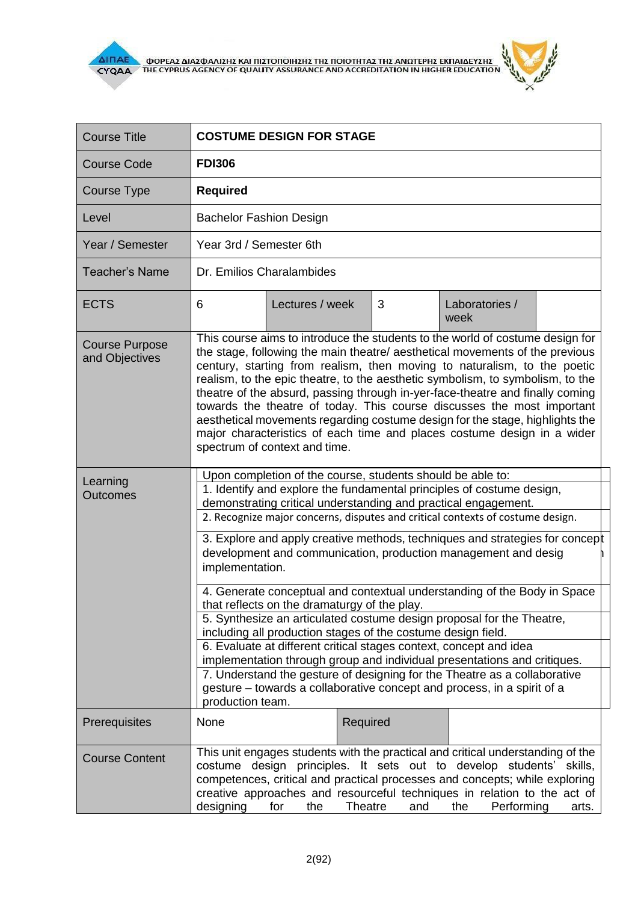

i.

| <b>Course Title</b>                     | <b>COSTUME DESIGN FOR STAGE</b>                                                                                                                                                                                                                                                                                                                                                                                                                                                                                                                                                                                                                                                    |                                                                                                                                                      |   |                        |  |  |  |
|-----------------------------------------|------------------------------------------------------------------------------------------------------------------------------------------------------------------------------------------------------------------------------------------------------------------------------------------------------------------------------------------------------------------------------------------------------------------------------------------------------------------------------------------------------------------------------------------------------------------------------------------------------------------------------------------------------------------------------------|------------------------------------------------------------------------------------------------------------------------------------------------------|---|------------------------|--|--|--|
| <b>Course Code</b>                      | <b>FDI306</b>                                                                                                                                                                                                                                                                                                                                                                                                                                                                                                                                                                                                                                                                      |                                                                                                                                                      |   |                        |  |  |  |
| <b>Course Type</b>                      | <b>Required</b>                                                                                                                                                                                                                                                                                                                                                                                                                                                                                                                                                                                                                                                                    |                                                                                                                                                      |   |                        |  |  |  |
| Level                                   | <b>Bachelor Fashion Design</b>                                                                                                                                                                                                                                                                                                                                                                                                                                                                                                                                                                                                                                                     |                                                                                                                                                      |   |                        |  |  |  |
| Year / Semester                         | Year 3rd / Semester 6th                                                                                                                                                                                                                                                                                                                                                                                                                                                                                                                                                                                                                                                            |                                                                                                                                                      |   |                        |  |  |  |
| <b>Teacher's Name</b>                   | Dr. Emilios Charalambides                                                                                                                                                                                                                                                                                                                                                                                                                                                                                                                                                                                                                                                          |                                                                                                                                                      |   |                        |  |  |  |
| <b>ECTS</b>                             | 6                                                                                                                                                                                                                                                                                                                                                                                                                                                                                                                                                                                                                                                                                  | Lectures / week                                                                                                                                      | 3 | Laboratories /<br>week |  |  |  |
| <b>Course Purpose</b><br>and Objectives | This course aims to introduce the students to the world of costume design for<br>the stage, following the main theatre/ aesthetical movements of the previous<br>century, starting from realism, then moving to naturalism, to the poetic<br>realism, to the epic theatre, to the aesthetic symbolism, to symbolism, to the<br>theatre of the absurd, passing through in-yer-face-theatre and finally coming<br>towards the theatre of today. This course discusses the most important<br>aesthetical movements regarding costume design for the stage, highlights the<br>major characteristics of each time and places costume design in a wider<br>spectrum of context and time. |                                                                                                                                                      |   |                        |  |  |  |
| Learning                                |                                                                                                                                                                                                                                                                                                                                                                                                                                                                                                                                                                                                                                                                                    | Upon completion of the course, students should be able to:                                                                                           |   |                        |  |  |  |
| <b>Outcomes</b>                         | 1. Identify and explore the fundamental principles of costume design,<br>demonstrating critical understanding and practical engagement.                                                                                                                                                                                                                                                                                                                                                                                                                                                                                                                                            |                                                                                                                                                      |   |                        |  |  |  |
|                                         | 2. Recognize major concerns, disputes and critical contexts of costume design.                                                                                                                                                                                                                                                                                                                                                                                                                                                                                                                                                                                                     |                                                                                                                                                      |   |                        |  |  |  |
|                                         | 3. Explore and apply creative methods, techniques and strategies for concept<br>development and communication, production management and desig<br>implementation.                                                                                                                                                                                                                                                                                                                                                                                                                                                                                                                  |                                                                                                                                                      |   |                        |  |  |  |
|                                         | 4. Generate conceptual and contextual understanding of the Body in Space<br>that reflects on the dramaturgy of the play.                                                                                                                                                                                                                                                                                                                                                                                                                                                                                                                                                           |                                                                                                                                                      |   |                        |  |  |  |
|                                         | 5. Synthesize an articulated costume design proposal for the Theatre,<br>including all production stages of the costume design field.                                                                                                                                                                                                                                                                                                                                                                                                                                                                                                                                              |                                                                                                                                                      |   |                        |  |  |  |
|                                         | 6. Evaluate at different critical stages context, concept and idea<br>implementation through group and individual presentations and critiques.                                                                                                                                                                                                                                                                                                                                                                                                                                                                                                                                     |                                                                                                                                                      |   |                        |  |  |  |
|                                         | production team.                                                                                                                                                                                                                                                                                                                                                                                                                                                                                                                                                                                                                                                                   | 7. Understand the gesture of designing for the Theatre as a collaborative<br>gesture – towards a collaborative concept and process, in a spirit of a |   |                        |  |  |  |
| Prerequisites                           | None                                                                                                                                                                                                                                                                                                                                                                                                                                                                                                                                                                                                                                                                               | Required                                                                                                                                             |   |                        |  |  |  |
| <b>Course Content</b>                   | This unit engages students with the practical and critical understanding of the<br>costume design principles. It sets out to develop students'<br>skills,<br>competences, critical and practical processes and concepts; while exploring<br>creative approaches and resourceful techniques in relation to the act of<br>Performing<br>designing<br>Theatre<br>for<br>the<br>the<br>and<br>arts.                                                                                                                                                                                                                                                                                    |                                                                                                                                                      |   |                        |  |  |  |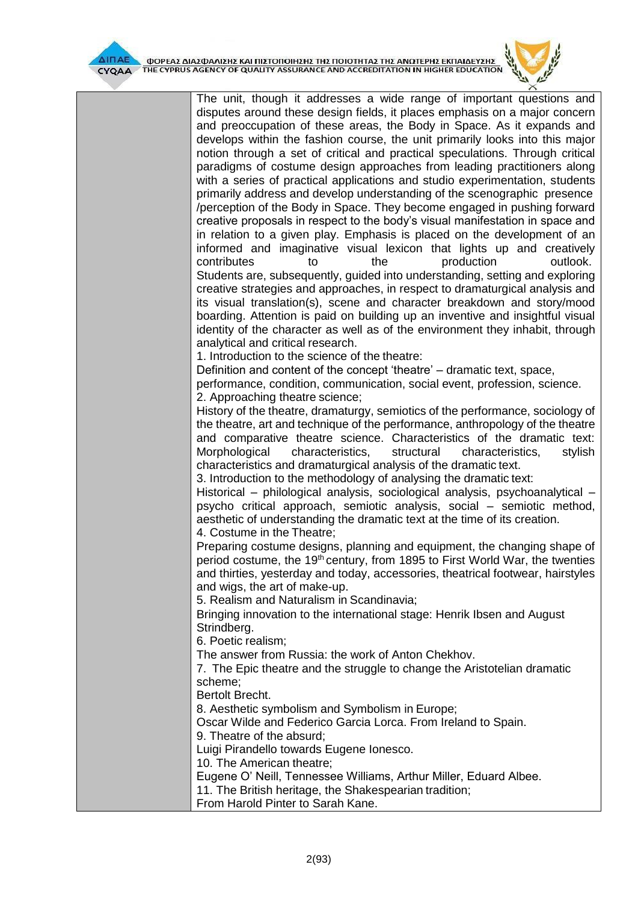

The unit, though it addresses a wide range of important questions and disputes around these design fields, it places emphasis on a major concern and preoccupation of these areas, the Body in Space. As it expands and develops within the fashion course, the unit primarily looks into this major notion through a set of critical and practical speculations. Through critical paradigms of costume design approaches from leading practitioners along with a series of practical applications and studio experimentation, students primarily address and develop understanding of the scenographic presence /perception of the Body in Space. They become engaged in pushing forward creative proposals in respect to the body's visual manifestation in space and in relation to a given play. Emphasis is placed on the development of an informed and imaginative visual lexicon that lights up and creatively contributes to the production outlook. Students are, subsequently, guided into understanding, setting and exploring creative strategies and approaches, in respect to dramaturgical analysis and its visual translation(s), scene and character breakdown and story/mood boarding. Attention is paid on building up an inventive and insightful visual identity of the character as well as of the environment they inhabit, through analytical and critical research. 1. Introduction to the science of the theatre: Definition and content of the concept 'theatre' – dramatic text, space, performance, condition, communication, social event, profession, science. 2. Approaching theatre science; History of the theatre, dramaturgy, semiotics of the performance, sociology of the theatre, art and technique of the performance, anthropology of the theatre and comparative theatre science. Characteristics of the dramatic text: Morphological characteristics, structural characteristics, stylish characteristics and dramaturgical analysis of the dramatic text. 3. Introduction to the methodology of analysing the dramatic text: Historical – philological analysis, sociological analysis, psychoanalytical – psycho critical approach, semiotic analysis, social – semiotic method, aesthetic of understanding the dramatic text at the time of its creation. 4. Costume in the Theatre; Preparing costume designs, planning and equipment, the changing shape of period costume, the 19<sup>th</sup> century, from 1895 to First World War, the twenties and thirties, yesterday and today, accessories, theatrical footwear, hairstyles and wigs, the art of make-up. 5. Realism and Naturalism in Scandinavia; Bringing innovation to the international stage: Henrik Ibsen and August Strindberg.

6. Poetic realism;

The answer from Russia: the work of Anton Chekhov.

7. The Epic theatre and the struggle to change the Aristotelian dramatic scheme;

Bertolt Brecht.

8. Aesthetic symbolism and Symbolism in Europe;

Oscar Wilde and Federico Garcia Lorca. From Ireland to Spain.

9. Theatre of the absurd;

Luigi Pirandello towards Eugene Ionesco.

10. The American theatre;

Eugene O' Neill, Tennessee Williams, Arthur Miller, Eduard Albee.

11. The British heritage, the Shakespearian tradition;

From Harold Pinter to Sarah Kane.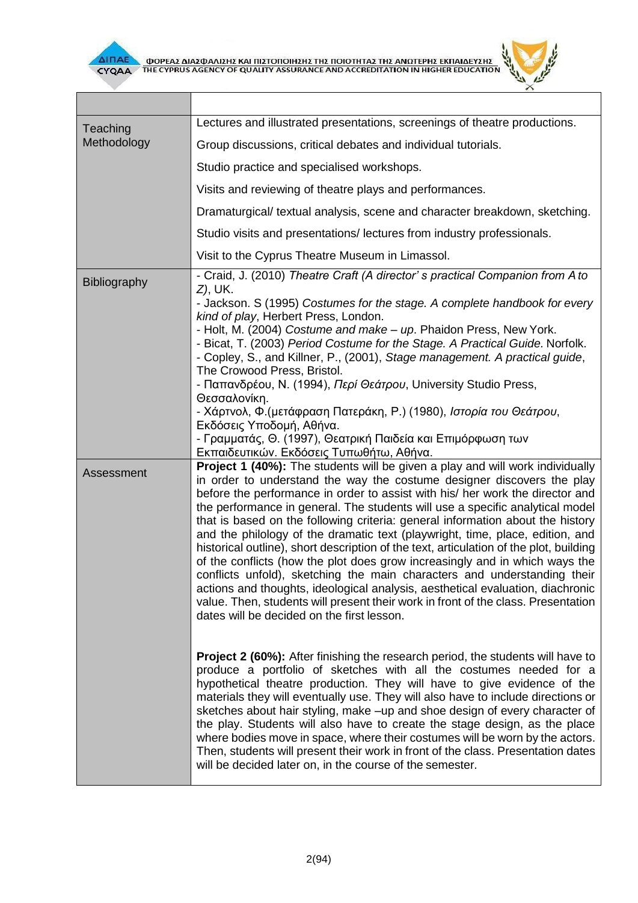



| Lectures and illustrated presentations, screenings of theatre productions.                                                                                                                                                                                                                                                                                                                                                                                                                                                                                                                                                                                                                                                                                                                                                                                                                                                                                                                                                                                                                                                                                                                                                                                                                                                                                                                                                                                                                                                                                                                                                                                                                         |  |  |  |
|----------------------------------------------------------------------------------------------------------------------------------------------------------------------------------------------------------------------------------------------------------------------------------------------------------------------------------------------------------------------------------------------------------------------------------------------------------------------------------------------------------------------------------------------------------------------------------------------------------------------------------------------------------------------------------------------------------------------------------------------------------------------------------------------------------------------------------------------------------------------------------------------------------------------------------------------------------------------------------------------------------------------------------------------------------------------------------------------------------------------------------------------------------------------------------------------------------------------------------------------------------------------------------------------------------------------------------------------------------------------------------------------------------------------------------------------------------------------------------------------------------------------------------------------------------------------------------------------------------------------------------------------------------------------------------------------------|--|--|--|
| Group discussions, critical debates and individual tutorials.                                                                                                                                                                                                                                                                                                                                                                                                                                                                                                                                                                                                                                                                                                                                                                                                                                                                                                                                                                                                                                                                                                                                                                                                                                                                                                                                                                                                                                                                                                                                                                                                                                      |  |  |  |
| Studio practice and specialised workshops.                                                                                                                                                                                                                                                                                                                                                                                                                                                                                                                                                                                                                                                                                                                                                                                                                                                                                                                                                                                                                                                                                                                                                                                                                                                                                                                                                                                                                                                                                                                                                                                                                                                         |  |  |  |
| Visits and reviewing of theatre plays and performances.                                                                                                                                                                                                                                                                                                                                                                                                                                                                                                                                                                                                                                                                                                                                                                                                                                                                                                                                                                                                                                                                                                                                                                                                                                                                                                                                                                                                                                                                                                                                                                                                                                            |  |  |  |
| Dramaturgical/ textual analysis, scene and character breakdown, sketching.                                                                                                                                                                                                                                                                                                                                                                                                                                                                                                                                                                                                                                                                                                                                                                                                                                                                                                                                                                                                                                                                                                                                                                                                                                                                                                                                                                                                                                                                                                                                                                                                                         |  |  |  |
| Studio visits and presentations/lectures from industry professionals.                                                                                                                                                                                                                                                                                                                                                                                                                                                                                                                                                                                                                                                                                                                                                                                                                                                                                                                                                                                                                                                                                                                                                                                                                                                                                                                                                                                                                                                                                                                                                                                                                              |  |  |  |
| Visit to the Cyprus Theatre Museum in Limassol.                                                                                                                                                                                                                                                                                                                                                                                                                                                                                                                                                                                                                                                                                                                                                                                                                                                                                                                                                                                                                                                                                                                                                                                                                                                                                                                                                                                                                                                                                                                                                                                                                                                    |  |  |  |
| - Craid, J. (2010) Theatre Craft (A director's practical Companion from A to<br><i>Z</i> ), UK.<br>- Jackson. S (1995) Costumes for the stage. A complete handbook for every<br>kind of play, Herbert Press, London.<br>- Holt, M. (2004) Costume and make - up. Phaidon Press, New York.<br>- Bicat, T. (2003) Period Costume for the Stage. A Practical Guide. Norfolk.<br>- Copley, S., and Killner, P., (2001), Stage management. A practical guide,<br>The Crowood Press, Bristol.<br>- Παπανδρέου, Ν. (1994), Περί Θεάτρου, University Studio Press,<br>Θεσσαλονίκη.<br>- Χάρτνολ, Φ.(μετάφραση Πατεράκη, Ρ.) (1980), <i>Ιστορία του Θεάτρου</i> ,<br>Εκδόσεις Υποδομή, Αθήνα.<br>- Γραμματάς, Θ. (1997), Θεατρική Παιδεία και Επιμόρφωση των<br>Εκπαιδευτικών. Εκδόσεις Τυπωθήτω, Αθήνα.                                                                                                                                                                                                                                                                                                                                                                                                                                                                                                                                                                                                                                                                                                                                                                                                                                                                                                    |  |  |  |
| Project 1 (40%): The students will be given a play and will work individually<br>in order to understand the way the costume designer discovers the play<br>before the performance in order to assist with his/ her work the director and<br>the performance in general. The students will use a specific analytical model<br>that is based on the following criteria: general information about the history<br>and the philology of the dramatic text (playwright, time, place, edition, and<br>historical outline), short description of the text, articulation of the plot, building<br>of the conflicts (how the plot does grow increasingly and in which ways the<br>conflicts unfold), sketching the main characters and understanding their<br>actions and thoughts, ideological analysis, aesthetical evaluation, diachronic<br>value. Then, students will present their work in front of the class. Presentation<br>dates will be decided on the first lesson.<br><b>Project 2 (60%):</b> After finishing the research period, the students will have to<br>produce a portfolio of sketches with all the costumes needed for a<br>hypothetical theatre production. They will have to give evidence of the<br>materials they will eventually use. They will also have to include directions or<br>sketches about hair styling, make -up and shoe design of every character of<br>the play. Students will also have to create the stage design, as the place<br>where bodies move in space, where their costumes will be worn by the actors.<br>Then, students will present their work in front of the class. Presentation dates<br>will be decided later on, in the course of the semester. |  |  |  |
|                                                                                                                                                                                                                                                                                                                                                                                                                                                                                                                                                                                                                                                                                                                                                                                                                                                                                                                                                                                                                                                                                                                                                                                                                                                                                                                                                                                                                                                                                                                                                                                                                                                                                                    |  |  |  |